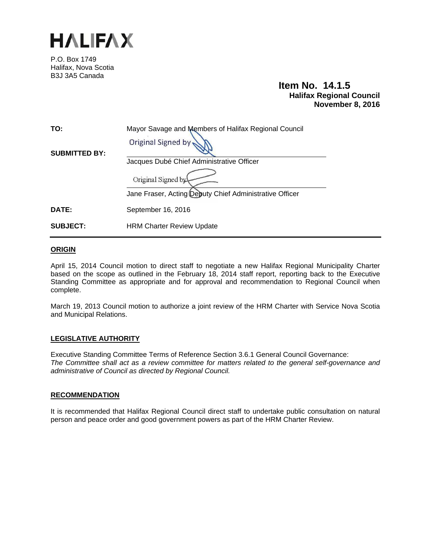

P.O. Box 1749 Halifax, Nova Scotia B3J 3A5 Canada

# **Item No. 14.1.5 Halifax Regional Council November 8, 2016**

| TO:                  | Mayor Savage and Members of Halifax Regional Council    |
|----------------------|---------------------------------------------------------|
| <b>SUBMITTED BY:</b> | <b>Original Signed by</b>                               |
|                      | Jacques Dubé Chief Administrative Officer               |
|                      | Original Signed by                                      |
|                      | Jane Fraser, Acting Deputy Chief Administrative Officer |
| <b>DATE:</b>         | September 16, 2016                                      |
| <b>SUBJECT:</b>      | <b>HRM Charter Review Update</b>                        |

### **ORIGIN**

April 15, 2014 Council motion to direct staff to negotiate a new Halifax Regional Municipality Charter based on the scope as outlined in the February 18, 2014 staff report, reporting back to the Executive Standing Committee as appropriate and for approval and recommendation to Regional Council when complete.

March 19, 2013 Council motion to authorize a joint review of the HRM Charter with Service Nova Scotia and Municipal Relations.

### **LEGISLATIVE AUTHORITY**

Executive Standing Committee Terms of Reference Section 3.6.1 General Council Governance: *The Committee shall act as a review committee for matters related to the general self-governance and administrative of Council as directed by Regional Council.* 

#### **RECOMMENDATION**

It is recommended that Halifax Regional Council direct staff to undertake public consultation on natural person and peace order and good government powers as part of the HRM Charter Review.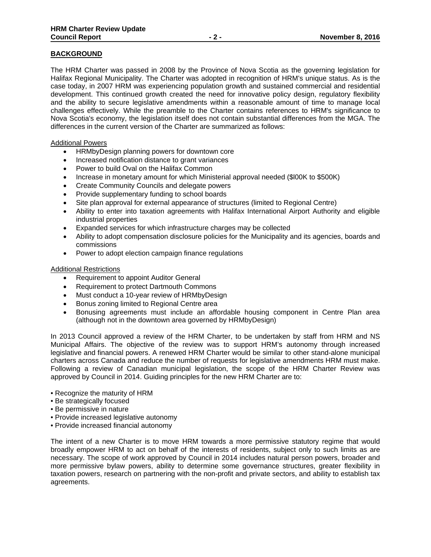### **BACKGROUND**

The HRM Charter was passed in 2008 by the Province of Nova Scotia as the governing legislation for Halifax Regional Municipality. The Charter was adopted in recognition of HRM's unique status. As is the case today, in 2007 HRM was experiencing population growth and sustained commercial and residential development. This continued growth created the need for innovative policy design, regulatory flexibility and the ability to secure legislative amendments within a reasonable amount of time to manage local challenges effectively. While the preamble to the Charter contains references to HRM's significance to Nova Scotia's economy, the legislation itself does not contain substantial differences from the MGA. The differences in the current version of the Charter are summarized as follows:

#### Additional Powers

- HRMbyDesign planning powers for downtown core
- Increased notification distance to grant variances
- Power to build Oval on the Halifax Common
- Increase in monetary amount for which Ministerial approval needed (\$l00K to \$500K)
- Create Community Councils and delegate powers
- Provide supplementary funding to school boards
- Site plan approval for external appearance of structures (limited to Regional Centre)
- Ability to enter into taxation agreements with Halifax International Airport Authority and eligible industrial properties
- Expanded services for which infrastructure charges may be collected
- Ability to adopt compensation disclosure policies for the Municipality and its agencies, boards and commissions
- Power to adopt election campaign finance regulations

#### Additional Restrictions

- Requirement to appoint Auditor General
- Requirement to protect Dartmouth Commons
- Must conduct a 10-year review of HRMbyDesign
- Bonus zoning limited to Regional Centre area
- Bonusing agreements must include an affordable housing component in Centre Plan area (although not in the downtown area governed by HRMbyDesign)

In 2013 Council approved a review of the HRM Charter, to be undertaken by staff from HRM and NS Municipal Affairs. The objective of the review was to support HRM's autonomy through increased legislative and financial powers. A renewed HRM Charter would be similar to other stand-alone municipal charters across Canada and reduce the number of requests for legislative amendments HRM must make. Following a review of Canadian municipal legislation, the scope of the HRM Charter Review was approved by Council in 2014. Guiding principles for the new HRM Charter are to:

- Recognize the maturity of HRM
- Be strategically focused
- Be permissive in nature
- Provide increased legislative autonomy
- Provide increased financial autonomy

The intent of a new Charter is to move HRM towards a more permissive statutory regime that would broadly empower HRM to act on behalf of the interests of residents, subject only to such limits as are necessary. The scope of work approved by Council in 2014 includes natural person powers, broader and more permissive bylaw powers, ability to determine some governance structures, greater flexibility in taxation powers, research on partnering with the non-profit and private sectors, and ability to establish tax agreements.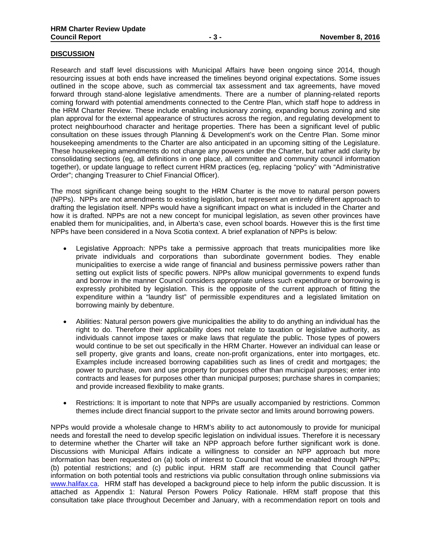#### **DISCUSSION**

Research and staff level discussions with Municipal Affairs have been ongoing since 2014, though resourcing issues at both ends have increased the timelines beyond original expectations. Some issues outlined in the scope above, such as commercial tax assessment and tax agreements, have moved forward through stand-alone legislative amendments. There are a number of planning-related reports coming forward with potential amendments connected to the Centre Plan, which staff hope to address in the HRM Charter Review. These include enabling inclusionary zoning, expanding bonus zoning and site plan approval for the external appearance of structures across the region, and regulating development to protect neighbourhood character and heritage properties. There has been a significant level of public consultation on these issues through Planning & Development's work on the Centre Plan. Some minor housekeeping amendments to the Charter are also anticipated in an upcoming sitting of the Legislature. These housekeeping amendments do not change any powers under the Charter, but rather add clarity by consolidating sections (eg, all definitions in one place, all committee and community council information together), or update language to reflect current HRM practices (eg, replacing "policy" with "Administrative Order"; changing Treasurer to Chief Financial Officer).

The most significant change being sought to the HRM Charter is the move to natural person powers (NPPs). NPPs are not amendments to existing legislation, but represent an entirely different approach to drafting the legislation itself. NPPs would have a significant impact on what is included in the Charter and how it is drafted. NPPs are not a new concept for municipal legislation, as seven other provinces have enabled them for municipalities, and, in Alberta's case, even school boards. However this is the first time NPPs have been considered in a Nova Scotia context. A brief explanation of NPPs is below:

- Legislative Approach: NPPs take a permissive approach that treats municipalities more like private individuals and corporations than subordinate government bodies. They enable municipalities to exercise a wide range of financial and business permissive powers rather than setting out explicit lists of specific powers. NPPs allow municipal governments to expend funds and borrow in the manner Council considers appropriate unless such expenditure or borrowing is expressly prohibited by legislation. This is the opposite of the current approach of fitting the expenditure within a "laundry list" of permissible expenditures and a legislated limitation on borrowing mainly by debenture.
- Abilities: Natural person powers give municipalities the ability to do anything an individual has the right to do. Therefore their applicability does not relate to taxation or legislative authority, as individuals cannot impose taxes or make laws that regulate the public. Those types of powers would continue to be set out specifically in the HRM Charter. However an individual can lease or sell property, give grants and loans, create non-profit organizations, enter into mortgages, etc. Examples include increased borrowing capabilities such as lines of credit and mortgages; the power to purchase, own and use property for purposes other than municipal purposes; enter into contracts and leases for purposes other than municipal purposes; purchase shares in companies; and provide increased flexibility to make grants.
- Restrictions: It is important to note that NPPs are usually accompanied by restrictions. Common themes include direct financial support to the private sector and limits around borrowing powers.

NPPs would provide a wholesale change to HRM's ability to act autonomously to provide for municipal needs and forestall the need to develop specific legislation on individual issues. Therefore it is necessary to determine whether the Charter will take an NPP approach before further significant work is done. Discussions with Municipal Affairs indicate a willingness to consider an NPP approach but more information has been requested on (a) tools of interest to Council that would be enabled through NPPs; (b) potential restrictions; and (c) public input. HRM staff are recommending that Council gather information on both potential tools and restrictions via public consultation through online submissions via www.halifax.ca. HRM staff has developed a background piece to help inform the public discussion. It is attached as Appendix 1: Natural Person Powers Policy Rationale. HRM staff propose that this consultation take place throughout December and January, with a recommendation report on tools and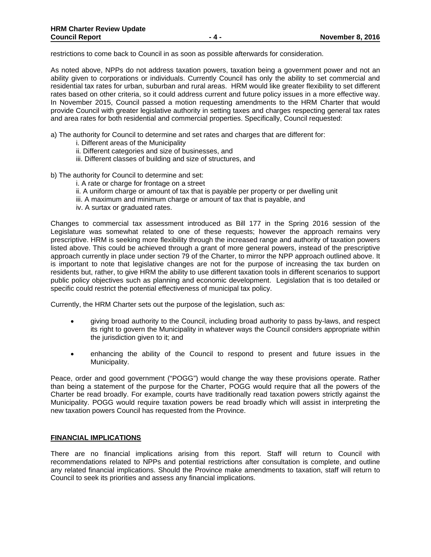restrictions to come back to Council in as soon as possible afterwards for consideration.

As noted above, NPPs do not address taxation powers, taxation being a government power and not an ability given to corporations or individuals. Currently Council has only the ability to set commercial and residential tax rates for urban, suburban and rural areas. HRM would like greater flexibility to set different rates based on other criteria, so it could address current and future policy issues in a more effective way. In November 2015, Council passed a motion requesting amendments to the HRM Charter that would provide Council with greater legislative authority in setting taxes and charges respecting general tax rates and area rates for both residential and commercial properties. Specifically, Council requested:

- a) The authority for Council to determine and set rates and charges that are different for:
	- i. Different areas of the Municipality
	- ii. Different categories and size of businesses, and
	- iii. Different classes of building and size of structures, and
- b) The authority for Council to determine and set:
	- i. A rate or charge for frontage on a street
	- ii. A uniform charge or amount of tax that is payable per property or per dwelling unit
	- iii. A maximum and minimum charge or amount of tax that is payable, and
	- iv. A surtax or graduated rates.

Changes to commercial tax assessment introduced as Bill 177 in the Spring 2016 session of the Legislature was somewhat related to one of these requests; however the approach remains very prescriptive. HRM is seeking more flexibility through the increased range and authority of taxation powers listed above. This could be achieved through a grant of more general powers, instead of the prescriptive approach currently in place under section 79 of the Charter, to mirror the NPP approach outlined above. It is important to note that legislative changes are not for the purpose of increasing the tax burden on residents but, rather, to give HRM the ability to use different taxation tools in different scenarios to support public policy objectives such as planning and economic development. Legislation that is too detailed or specific could restrict the potential effectiveness of municipal tax policy.

Currently, the HRM Charter sets out the purpose of the legislation, such as:

- giving broad authority to the Council, including broad authority to pass by-laws, and respect its right to govern the Municipality in whatever ways the Council considers appropriate within the jurisdiction given to it; and
- enhancing the ability of the Council to respond to present and future issues in the Municipality.

Peace, order and good government ("POGG") would change the way these provisions operate. Rather than being a statement of the purpose for the Charter, POGG would require that all the powers of the Charter be read broadly. For example, courts have traditionally read taxation powers strictly against the Municipality. POGG would require taxation powers be read broadly which will assist in interpreting the new taxation powers Council has requested from the Province.

### **FINANCIAL IMPLICATIONS**

There are no financial implications arising from this report. Staff will return to Council with recommendations related to NPPs and potential restrictions after consultation is complete, and outline any related financial implications. Should the Province make amendments to taxation, staff will return to Council to seek its priorities and assess any financial implications.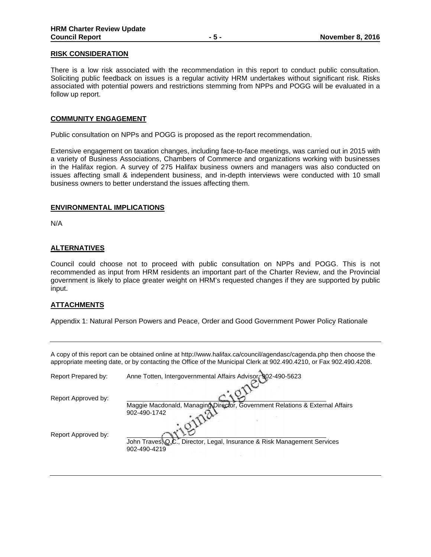#### **RISK CONSIDERATION**

There is a low risk associated with the recommendation in this report to conduct public consultation. Soliciting public feedback on issues is a regular activity HRM undertakes without significant risk. Risks associated with potential powers and restrictions stemming from NPPs and POGG will be evaluated in a follow up report.

#### **COMMUNITY ENGAGEMENT**

Public consultation on NPPs and POGG is proposed as the report recommendation.

Extensive engagement on taxation changes, including face-to-face meetings, was carried out in 2015 with a variety of Business Associations, Chambers of Commerce and organizations working with businesses in the Halifax region. A survey of 275 Halifax business owners and managers was also conducted on issues affecting small & independent business, and in-depth interviews were conducted with 10 small business owners to better understand the issues affecting them.

#### **ENVIRONMENTAL IMPLICATIONS**

N/A

#### **ALTERNATIVES**

Council could choose not to proceed with public consultation on NPPs and POGG. This is not recommended as input from HRM residents an important part of the Charter Review, and the Provincial government is likely to place greater weight on HRM's requested changes if they are supported by public input.

#### **ATTACHMENTS**

Appendix 1: Natural Person Powers and Peace, Order and Good Government Power Policy Rationale

|                     | appropriate meeting date, or by contacting the Office of the Municipal Clerk at 902.490.4210, or Fax 902.490.4208                                                        |
|---------------------|--------------------------------------------------------------------------------------------------------------------------------------------------------------------------|
| Report Prepared by: | Anne Totten, Intergovernmental Affairs Advisor, 902-490-5623                                                                                                             |
| Report Approved by: |                                                                                                                                                                          |
| Report Approved by: | Maggie Macdonald, Managing Director, Government Relations & External Affairs<br>902-490-1742<br>John Traves, Q.C., Director, Legal, Insurance & Risk Management Services |
|                     | 902-490-4219                                                                                                                                                             |

A copy of this report can be obtained online at http://www.halifax.ca/council/agendasc/cagenda.php then choose the appropriate meeting date, or by contacting the Office of the Municipal Clerk at 902.490.4210, or Fax 902.490.4208.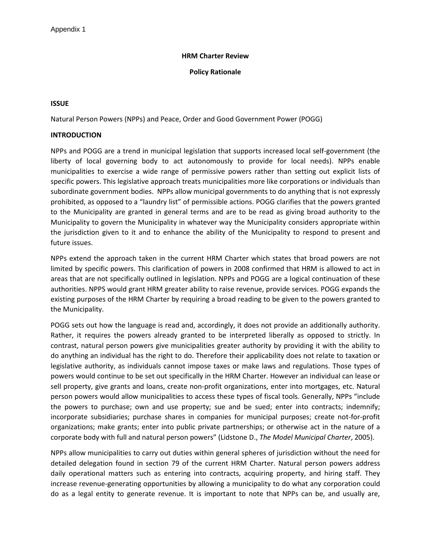### **HRM Charter Review**

### **Policy Rationale**

### **ISSUE**

Natural Person Powers (NPPs) and Peace, Order and Good Government Power (POGG)

### **INTRODUCTION**

NPPs and POGG are a trend in municipal legislation that supports increased local self-government (the liberty of local governing body to act autonomously to provide for local needs). NPPs enable municipalities to exercise a wide range of permissive powers rather than setting out explicit lists of specific powers. This legislative approach treats municipalities more like corporations or individuals than subordinate government bodies. NPPs allow municipal governments to do anything that is not expressly prohibited, as opposed to a "laundry list" of permissible actions. POGG clarifies that the powers granted to the Municipality are granted in general terms and are to be read as giving broad authority to the Municipality to govern the Municipality in whatever way the Municipality considers appropriate within the jurisdiction given to it and to enhance the ability of the Municipality to respond to present and future issues.

NPPs extend the approach taken in the current HRM Charter which states that broad powers are not limited by specific powers. This clarification of powers in 2008 confirmed that HRM is allowed to act in areas that are not specifically outlined in legislation. NPPs and POGG are a logical continuation of these authorities. NPPS would grant HRM greater ability to raise revenue, provide services. POGG expands the existing purposes of the HRM Charter by requiring a broad reading to be given to the powers granted to the Municipality.

POGG sets out how the language is read and, accordingly, it does not provide an additionally authority. Rather, it requires the powers already granted to be interpreted liberally as opposed to strictly. In contrast, natural person powers give municipalities greater authority by providing it with the ability to do anything an individual has the right to do. Therefore their applicability does not relate to taxation or legislative authority, as individuals cannot impose taxes or make laws and regulations. Those types of powers would continue to be set out specifically in the HRM Charter. However an individual can lease or sell property, give grants and loans, create non-profit organizations, enter into mortgages, etc. Natural person powers would allow municipalities to access these types of fiscal tools. Generally, NPPs "include the powers to purchase; own and use property; sue and be sued; enter into contracts; indemnify; incorporate subsidiaries; purchase shares in companies for municipal purposes; create not-for-profit organizations; make grants; enter into public private partnerships; or otherwise act in the nature of a corporate body with full and natural person powers" (Lidstone D., *The Model Municipal Charter*, 2005).

NPPs allow municipalities to carry out duties within general spheres of jurisdiction without the need for detailed delegation found in section 79 of the current HRM Charter. Natural person powers address daily operational matters such as entering into contracts, acquiring property, and hiring staff. They increase revenue-generating opportunities by allowing a municipality to do what any corporation could do as a legal entity to generate revenue. It is important to note that NPPs can be, and usually are,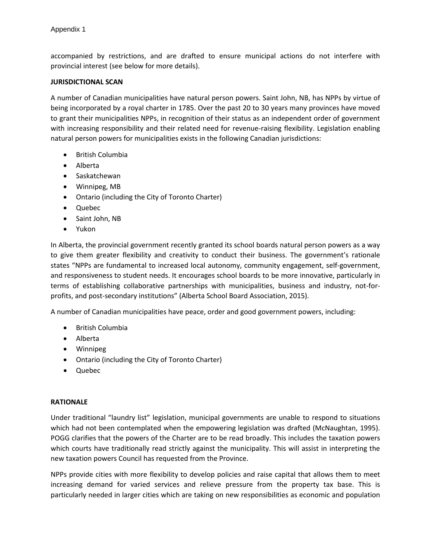accompanied by restrictions, and are drafted to ensure municipal actions do not interfere with provincial interest (see below for more details).

### **JURISDICTIONAL SCAN**

A number of Canadian municipalities have natural person powers. Saint John, NB, has NPPs by virtue of being incorporated by a royal charter in 1785. Over the past 20 to 30 years many provinces have moved to grant their municipalities NPPs, in recognition of their status as an independent order of government with increasing responsibility and their related need for revenue-raising flexibility. Legislation enabling natural person powers for municipalities exists in the following Canadian jurisdictions:

- British Columbia
- Alberta
- Saskatchewan
- Winnipeg, MB
- Ontario (including the City of Toronto Charter)
- Quebec
- Saint John, NB
- Yukon

In Alberta, the provincial government recently granted its school boards natural person powers as a way to give them greater flexibility and creativity to conduct their business. The government's rationale states "NPPs are fundamental to increased local autonomy, community engagement, self-government, and responsiveness to student needs. It encourages school boards to be more innovative, particularly in terms of establishing collaborative partnerships with municipalities, business and industry, not-forprofits, and post-secondary institutions" (Alberta School Board Association, 2015).

A number of Canadian municipalities have peace, order and good government powers, including:

- British Columbia
- Alberta
- Winnipeg
- Ontario (including the City of Toronto Charter)
- Quebec

### **RATIONALE**

Under traditional "laundry list" legislation, municipal governments are unable to respond to situations which had not been contemplated when the empowering legislation was drafted (McNaughtan, 1995). POGG clarifies that the powers of the Charter are to be read broadly. This includes the taxation powers which courts have traditionally read strictly against the municipality. This will assist in interpreting the new taxation powers Council has requested from the Province.

NPPs provide cities with more flexibility to develop policies and raise capital that allows them to meet increasing demand for varied services and relieve pressure from the property tax base. This is particularly needed in larger cities which are taking on new responsibilities as economic and population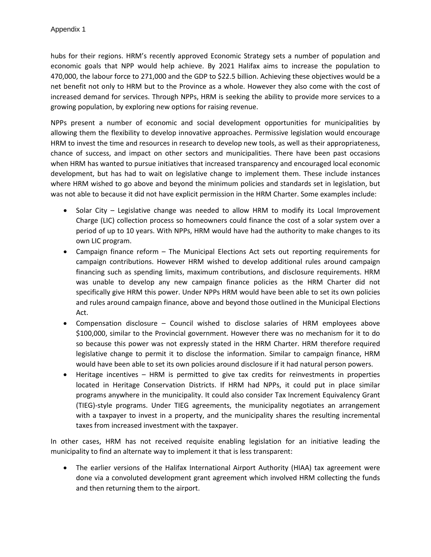hubs for their regions. HRM's recently approved Economic Strategy sets a number of population and economic goals that NPP would help achieve. By 2021 Halifax aims to increase the population to 470,000, the labour force to 271,000 and the GDP to \$22.5 billion. Achieving these objectives would be a net benefit not only to HRM but to the Province as a whole. However they also come with the cost of increased demand for services. Through NPPs, HRM is seeking the ability to provide more services to a growing population, by exploring new options for raising revenue.

NPPs present a number of economic and social development opportunities for municipalities by allowing them the flexibility to develop innovative approaches. Permissive legislation would encourage HRM to invest the time and resources in research to develop new tools, as well as their appropriateness, chance of success, and impact on other sectors and municipalities. There have been past occasions when HRM has wanted to pursue initiatives that increased transparency and encouraged local economic development, but has had to wait on legislative change to implement them. These include instances where HRM wished to go above and beyond the minimum policies and standards set in legislation, but was not able to because it did not have explicit permission in the HRM Charter. Some examples include:

- Solar City Legislative change was needed to allow HRM to modify its Local Improvement Charge (LIC) collection process so homeowners could finance the cost of a solar system over a period of up to 10 years. With NPPs, HRM would have had the authority to make changes to its own LIC program.
- Campaign finance reform The Municipal Elections Act sets out reporting requirements for campaign contributions. However HRM wished to develop additional rules around campaign financing such as spending limits, maximum contributions, and disclosure requirements. HRM was unable to develop any new campaign finance policies as the HRM Charter did not specifically give HRM this power. Under NPPs HRM would have been able to set its own policies and rules around campaign finance, above and beyond those outlined in the Municipal Elections Act.
- Compensation disclosure Council wished to disclose salaries of HRM employees above \$100,000, similar to the Provincial government. However there was no mechanism for it to do so because this power was not expressly stated in the HRM Charter. HRM therefore required legislative change to permit it to disclose the information. Similar to campaign finance, HRM would have been able to set its own policies around disclosure if it had natural person powers.
- Heritage incentives HRM is permitted to give tax credits for reinvestments in properties located in Heritage Conservation Districts. If HRM had NPPs, it could put in place similar programs anywhere in the municipality. It could also consider Tax Increment Equivalency Grant (TIEG)-style programs. Under TIEG agreements, the municipality negotiates an arrangement with a taxpayer to invest in a property, and the municipality shares the resulting incremental taxes from increased investment with the taxpayer.

In other cases, HRM has not received requisite enabling legislation for an initiative leading the municipality to find an alternate way to implement it that is less transparent:

• The earlier versions of the Halifax International Airport Authority (HIAA) tax agreement were done via a convoluted development grant agreement which involved HRM collecting the funds and then returning them to the airport.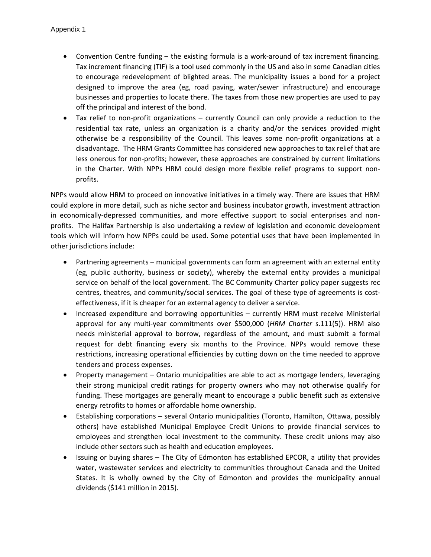- Convention Centre funding the existing formula is a work-around of tax increment financing. Tax increment financing (TIF) is a tool used commonly in the US and also in some Canadian cities to encourage redevelopment of blighted areas. The municipality issues a bond for a project designed to improve the area (eg, road paving, water/sewer infrastructure) and encourage businesses and properties to locate there. The taxes from those new properties are used to pay off the principal and interest of the bond.
- Tax relief to non-profit organizations currently Council can only provide a reduction to the residential tax rate, unless an organization is a charity and/or the services provided might otherwise be a responsibility of the Council. This leaves some non-profit organizations at a disadvantage. The HRM Grants Committee has considered new approaches to tax relief that are less onerous for non-profits; however, these approaches are constrained by current limitations in the Charter. With NPPs HRM could design more flexible relief programs to support nonprofits.

NPPs would allow HRM to proceed on innovative initiatives in a timely way. There are issues that HRM could explore in more detail, such as niche sector and business incubator growth, investment attraction in economically-depressed communities, and more effective support to social enterprises and nonprofits. The Halifax Partnership is also undertaking a review of legislation and economic development tools which will inform how NPPs could be used. Some potential uses that have been implemented in other jurisdictions include:

- Partnering agreements municipal governments can form an agreement with an external entity (eg, public authority, business or society), whereby the external entity provides a municipal service on behalf of the local government. The BC Community Charter policy paper suggests rec centres, theatres, and community/social services. The goal of these type of agreements is costeffectiveness, if it is cheaper for an external agency to deliver a service.
- Increased expenditure and borrowing opportunities currently HRM must receive Ministerial approval for any multi-year commitments over \$500,000 (*HRM Charter* s.111(5)). HRM also needs ministerial approval to borrow, regardless of the amount, and must submit a formal request for debt financing every six months to the Province. NPPs would remove these restrictions, increasing operational efficiencies by cutting down on the time needed to approve tenders and process expenses.
- Property management Ontario municipalities are able to act as mortgage lenders, leveraging their strong municipal credit ratings for property owners who may not otherwise qualify for funding. These mortgages are generally meant to encourage a public benefit such as extensive energy retrofits to homes or affordable home ownership.
- Establishing corporations several Ontario municipalities (Toronto, Hamilton, Ottawa, possibly others) have established Municipal Employee Credit Unions to provide financial services to employees and strengthen local investment to the community. These credit unions may also include other sectors such as health and education employees.
- Issuing or buying shares The City of Edmonton has established EPCOR, a utility that provides water, wastewater services and electricity to communities throughout Canada and the United States. It is wholly owned by the City of Edmonton and provides the municipality annual dividends (\$141 million in 2015).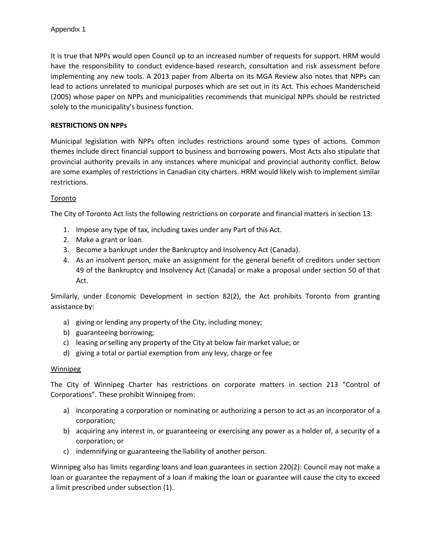It is true that NPPs would open Council up to an increased number of requests for support. HRM would have the responsibility to conduct evidence-based research, consultation and risk assessment before implementing any new tools. A 2013 paper from Alberta on its MGA Review also notes that NPPs can lead to actions unrelated to municipal purposes which are set out in its Act. This echoes Manderscheid (2005) whose paper on NPPs and municipalities recommends that municipal NPPs should be restricted solely to the municipality's business function.

# **RESTRICTIONS ON NPPs**

Municipal legislation with NPPs often includes restrictions around some types of actions. Common themes include direct financial support to business and borrowing powers. Most Acts also stipulate that provincial authority prevails in any instances where municipal and provincial authority conflict. Below are some examples of restrictions in Canadian city charters. HRM would likely wish to implement similar restrictions.

# Toronto

The City of Toronto Act lists the following restrictions on corporate and financial matters in section 13:

- 1. Impose any type of tax, including taxes under any Part of this Act.
- 2. Make a grant or loan.
- 3. Become a bankrupt under the Bankruptcy and Insolvency Act (Canada).
- 4. As an insolvent person, make an assignment for the general benefit of creditors under section 49 of the Bankruptcy and Insolvency Act (Canada) or make a proposal under section 50 of that Act.

Similarly, under Economic Development in section 82(2), the Act prohibits Toronto from granting assistance by:

- a) giving or lending any property of the City, including money;
- b) guaranteeing borrowing;
- c) leasing or selling any property of the City at below fair market value; or
- d) giving a total or partial exemption from any levy, charge or fee

### **Winnipeg**

The City of Winnipeg Charter has restrictions on corporate matters in section 213 "Control of Corporations". These prohibit Winnipeg from:

- a) incorporating a corporation or nominating or authorizing a person to act as an incorporator of a corporation;
- b) acquiring any interest in, or guaranteeing or exercising any power as a holder of, a security of a corporation; or
- c) indemnifying or guaranteeing the liability of another person.

Winnipeg also has limits regarding loans and loan guarantees in section 220(2): Council may not make a loan or guarantee the repayment of a loan if making the loan or guarantee will cause the city to exceed a limit prescribed under subsection (1).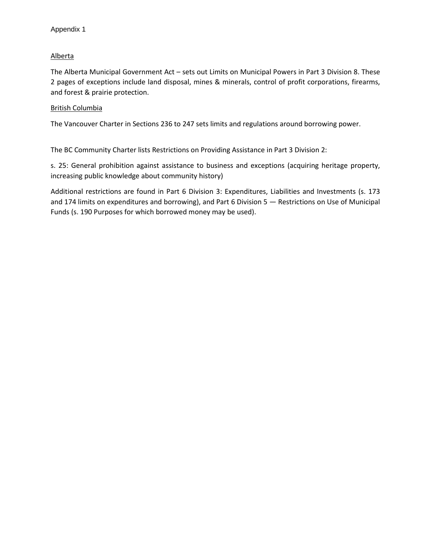# Alberta

The Alberta Municipal Government Act – sets out Limits on Municipal Powers in Part 3 Division 8. These 2 pages of exceptions include land disposal, mines & minerals, control of profit corporations, firearms, and forest & prairie protection.

# British Columbia

The Vancouver Charter in Sections 236 to 247 sets limits and regulations around borrowing power.

The BC Community Charter lists Restrictions on Providing Assistance in Part 3 Division 2:

s. 25: General prohibition against assistance to business and exceptions (acquiring heritage property, increasing public knowledge about community history)

Additional restrictions are found in Part 6 Division 3: Expenditures, Liabilities and Investments (s. 173 and 174 limits on expenditures and borrowing), and Part 6 Division 5 — Restrictions on Use of Municipal Funds (s. 190 Purposes for which borrowed money may be used).